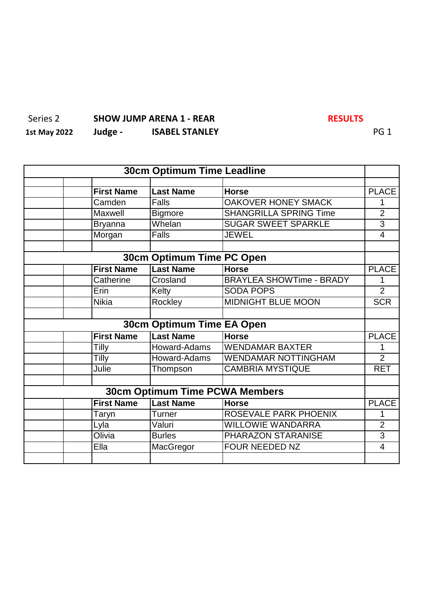### Series 2 **SHOW JUMP ARENA 1 - REAR RESULTS 1st May 2022 Judge - ISABEL STANLEY** PG 1

| <b>30cm Optimum Time Leadline</b> |                   |                                       |                                 |                          |
|-----------------------------------|-------------------|---------------------------------------|---------------------------------|--------------------------|
|                                   |                   |                                       |                                 |                          |
|                                   | <b>First Name</b> | <b>Last Name</b>                      | <b>Horse</b>                    | <b>PLACE</b>             |
|                                   | Camden            | Falls                                 | <b>OAKOVER HONEY SMACK</b>      | 1                        |
|                                   | Maxwell           | <b>Bigmore</b>                        | <b>SHANGRILLA SPRING Time</b>   | $\overline{2}$           |
|                                   | <b>Bryanna</b>    | Whelan                                | <b>SUGAR SWEET SPARKLE</b>      | $\overline{3}$           |
|                                   | Morgan            | <b>Falls</b>                          | <b>JEWEL</b>                    | $\overline{\mathcal{A}}$ |
|                                   |                   |                                       |                                 |                          |
| 30cm Optimum Time PC Open         |                   |                                       |                                 |                          |
|                                   | <b>First Name</b> | <b>Last Name</b>                      | <b>Horse</b>                    | <b>PLACE</b>             |
|                                   | Catherine         | Crosland                              | <b>BRAYLEA SHOWTime - BRADY</b> | 1                        |
|                                   | Erin              | Kelty                                 | <b>SODA POPS</b>                | $\overline{2}$           |
|                                   | <b>Nikia</b>      | Rockley                               | <b>MIDNIGHT BLUE MOON</b>       | <b>SCR</b>               |
|                                   |                   |                                       |                                 |                          |
|                                   |                   | 30cm Optimum Time EA Open             |                                 |                          |
|                                   | <b>First Name</b> | <b>Last Name</b>                      | <b>Horse</b>                    | <b>PLACE</b>             |
|                                   | Tilly             | Howard-Adams                          | <b>WENDAMAR BAXTER</b>          | 1                        |
|                                   | Tilly             | Howard-Adams                          | <b>WENDAMAR NOTTINGHAM</b>      | $\overline{2}$           |
|                                   | Julie             | Thompson                              | <b>CAMBRIA MYSTIQUE</b>         | <b>RET</b>               |
|                                   |                   |                                       |                                 |                          |
|                                   |                   | <b>30cm Optimum Time PCWA Members</b> |                                 |                          |
|                                   | <b>First Name</b> | <b>Last Name</b>                      | <b>Horse</b>                    | <b>PLACE</b>             |
|                                   | Taryn             | Turner                                | ROSEVALE PARK PHOENIX           | 1                        |
|                                   | Lyla              | Valuri                                | <b>WILLOWIE WANDARRA</b>        | $\overline{2}$           |
|                                   | Olivia            | <b>Burles</b>                         | PHARAZON STARANISE              | $\overline{3}$           |
|                                   | Ella              | MacGregor                             | <b>FOUR NEEDED NZ</b>           | 4                        |
|                                   |                   |                                       |                                 |                          |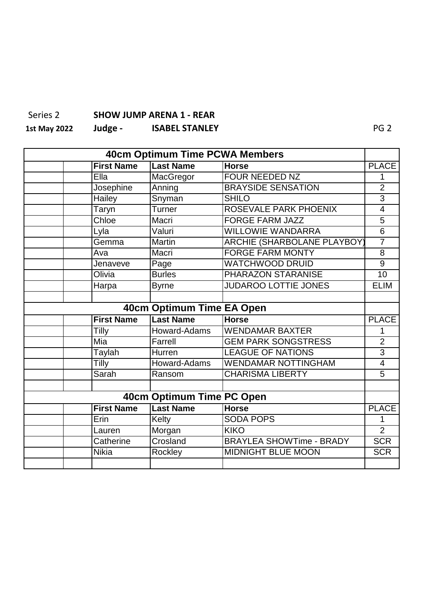#### Series 2 **SHOW JUMP ARENA 1 - REAR**

## **1st May 2022 Judge - ISABEL STANLEY** PG 2

| 40cm Optimum Time PCWA Members |                   |                           |                                    |                 |
|--------------------------------|-------------------|---------------------------|------------------------------------|-----------------|
|                                | <b>First Name</b> | <b>Last Name</b>          | <b>Horse</b>                       | <b>PLACE</b>    |
|                                | Ella              | MacGregor                 | <b>FOUR NEEDED NZ</b>              | 1               |
|                                | Josephine         | Anning                    | <b>BRAYSIDE SENSATION</b>          | $\overline{2}$  |
|                                | Hailey            | Snyman                    | <b>SHILO</b>                       | $\overline{3}$  |
|                                | Taryn             | Turner                    | ROSEVALE PARK PHOENIX              | $\overline{4}$  |
|                                | Chloe             | Macri                     | <b>FORGE FARM JAZZ</b>             | $\overline{5}$  |
|                                | Lyla              | Valuri                    | <b>WILLOWIE WANDARRA</b>           | $\overline{6}$  |
|                                | Gemma             | <b>Martin</b>             | <b>ARCHIE (SHARBOLANE PLAYBOY)</b> | $\overline{7}$  |
|                                | Ava               | Macri                     | <b>FORGE FARM MONTY</b>            | $\overline{8}$  |
|                                | Jenaveve          | Page                      | <b>WATCHWOOD DRUID</b>             | $\overline{9}$  |
|                                | Olivia            | <b>Burles</b>             | PHARAZON STARANISE                 | $\overline{10}$ |
|                                | Harpa             | <b>Byrne</b>              | <b>JUDAROO LOTTIE JONES</b>        | <b>ELIM</b>     |
|                                |                   |                           |                                    |                 |
| 40cm Optimum Time EA Open      |                   |                           |                                    |                 |
|                                | <b>First Name</b> | <b>Last Name</b>          | <b>Horse</b>                       | <b>PLACE</b>    |
|                                | Tilly             | Howard-Adams              | <b>WENDAMAR BAXTER</b>             | 1               |
|                                | Mia               | Farrell                   | <b>GEM PARK SONGSTRESS</b>         | $\overline{2}$  |
|                                | <b>Taylah</b>     | Hurren                    | <b>LEAGUE OF NATIONS</b>           | $\overline{3}$  |
|                                | Tilly             | Howard-Adams              | <b>WENDAMAR NOTTINGHAM</b>         | 4               |
|                                | Sarah             | Ransom                    | <b>CHARISMA LIBERTY</b>            | $\overline{5}$  |
|                                |                   |                           |                                    |                 |
|                                |                   | 40cm Optimum Time PC Open |                                    |                 |
|                                | <b>First Name</b> | <b>Last Name</b>          | <b>Horse</b>                       | <b>PLACE</b>    |
|                                | Erin              | Kelty                     | <b>SODA POPS</b>                   | 1               |
|                                | Lauren            | Morgan                    | <b>KIKO</b>                        | $\overline{2}$  |
|                                | Catherine         | Crosland                  | <b>BRAYLEA SHOWTime - BRADY</b>    | <b>SCR</b>      |
|                                | <b>Nikia</b>      | Rockley                   | <b>MIDNIGHT BLUE MOON</b>          | <b>SCR</b>      |
|                                |                   |                           |                                    |                 |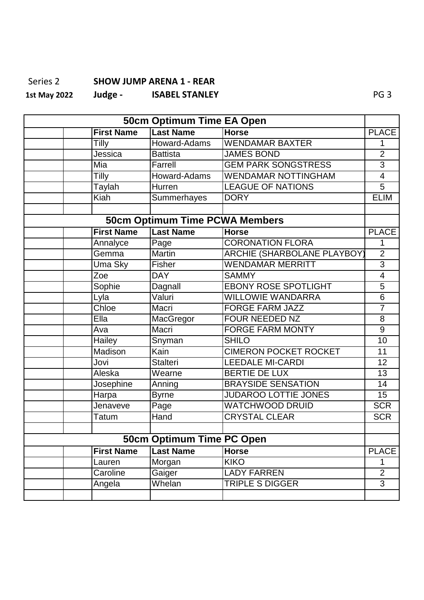## Series 2 **SHOW JUMP ARENA 1 - REAR**

**1st May 2022 Judge - ISABEL STANLEY** PG 3

| 50cm Optimum Time EA Open |                   |                                       |                                    |                          |
|---------------------------|-------------------|---------------------------------------|------------------------------------|--------------------------|
|                           | <b>First Name</b> | <b>Last Name</b>                      | <b>Horse</b>                       | <b>PLACE</b>             |
|                           | Tilly             | Howard-Adams                          | <b>WENDAMAR BAXTER</b>             | 1                        |
|                           | Jessica           | <b>Battista</b>                       | <b>JAMES BOND</b>                  | $\overline{2}$           |
|                           | Mia               | Farrell                               | <b>GEM PARK SONGSTRESS</b>         | $\overline{3}$           |
|                           | Tilly             | Howard-Adams                          | <b>WENDAMAR NOTTINGHAM</b>         | $\overline{\mathcal{A}}$ |
|                           | <b>Taylah</b>     | Hurren                                | <b>LEAGUE OF NATIONS</b>           | $\overline{5}$           |
|                           | <b>Kiah</b>       | Summerhayes                           | <b>DORY</b>                        | <b>ELIM</b>              |
|                           |                   |                                       |                                    |                          |
|                           |                   | <b>50cm Optimum Time PCWA Members</b> |                                    |                          |
|                           | <b>First Name</b> | <b>Last Name</b>                      | <b>Horse</b>                       | <b>PLACE</b>             |
|                           | Annalyce          | Page                                  | <b>CORONATION FLORA</b>            | 1                        |
|                           | Gemma             | Martin                                | <b>ARCHIE (SHARBOLANE PLAYBOY)</b> | $\overline{2}$           |
|                           | Uma Sky           | Fisher                                | <b>WENDAMAR MERRITT</b>            | $\overline{3}$           |
|                           | Zoe               | <b>DAY</b>                            | <b>SAMMY</b>                       | $\overline{4}$           |
|                           | Sophie            | Dagnall                               | <b>EBONY ROSE SPOTLIGHT</b>        | 5                        |
|                           | Lyla              | Valuri                                | <b>WILLOWIE WANDARRA</b>           | $\overline{6}$           |
|                           | Chloe             | Macri                                 | <b>FORGE FARM JAZZ</b>             | $\overline{7}$           |
|                           | Ella              | MacGregor                             | <b>FOUR NEEDED NZ</b>              | 8                        |
|                           | Ava               | Macri                                 | <b>FORGE FARM MONTY</b>            | $\overline{9}$           |
|                           | Hailey            | Snyman                                | <b>SHILO</b>                       | $\overline{10}$          |
|                           | Madison           | Kain                                  | <b>CIMERON POCKET ROCKET</b>       | 11                       |
|                           | Jovi              | <b>Stalteri</b>                       | <b>LEEDALE MI-CARDI</b>            | 12                       |
|                           | Aleska            | Wearne                                | <b>BERTIE DE LUX</b>               | $\overline{13}$          |
|                           | Josephine         | Anning                                | <b>BRAYSIDE SENSATION</b>          | 14                       |
|                           | Harpa             | <b>Byrne</b>                          | <b>JUDAROO LOTTIE JONES</b>        | $\overline{15}$          |
|                           | Jenaveve          | Page                                  | <b>WATCHWOOD DRUID</b>             | <b>SCR</b>               |
|                           | Tatum             | Hand                                  | <b>CRYSTAL CLEAR</b>               | <b>SCR</b>               |
|                           |                   |                                       |                                    |                          |
|                           |                   | 50cm Optimum Time PC Open             |                                    |                          |
|                           | <b>First Name</b> | <b>Last Name</b>                      | <b>Horse</b>                       | <b>PLACE</b>             |
|                           | Lauren            | Morgan                                | <b>KIKO</b>                        | 1                        |
|                           | Caroline          | Gaiger                                | <b>LADY FARREN</b>                 | $\overline{2}$           |
|                           | Angela            | Whelan                                | <b>TRIPLE S DIGGER</b>             | $\overline{3}$           |
|                           |                   |                                       |                                    |                          |